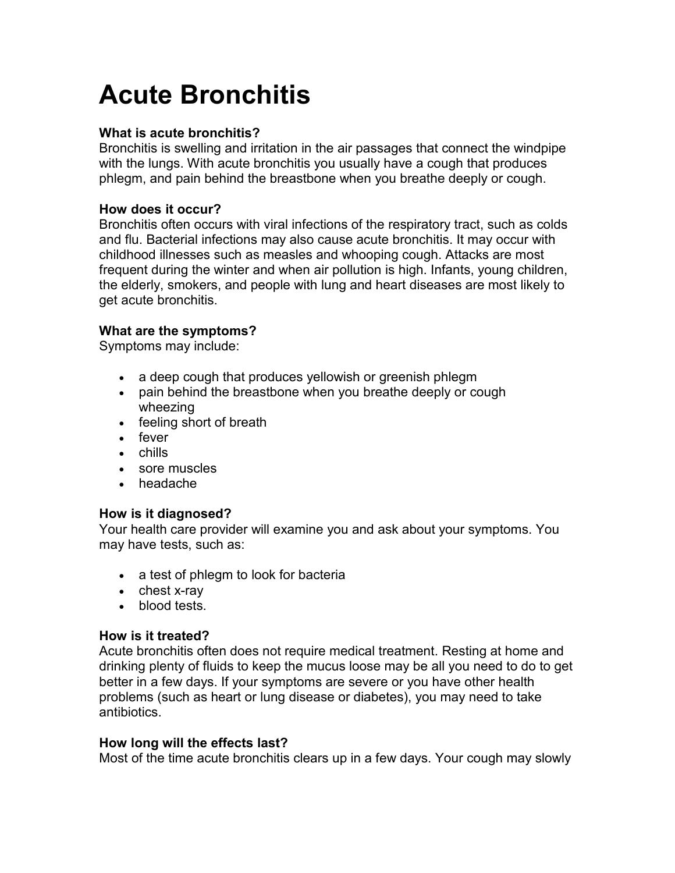# **Acute Bronchitis**

## **What is acute bronchitis?**

Bronchitis is swelling and irritation in the air passages that connect the windpipe with the lungs. With acute bronchitis you usually have a cough that produces phlegm, and pain behind the breastbone when you breathe deeply or cough.

### **How does it occur?**

Bronchitis often occurs with viral infections of the respiratory tract, such as colds and flu. Bacterial infections may also cause acute bronchitis. It may occur with childhood illnesses such as measles and whooping cough. Attacks are most frequent during the winter and when air pollution is high. Infants, young children, the elderly, smokers, and people with lung and heart diseases are most likely to get acute bronchitis.

#### **What are the symptoms?**

Symptoms may include:

- a deep cough that produces yellowish or greenish phlegm
- pain behind the breastbone when you breathe deeply or cough wheezing
- feeling short of breath
- fever
- chills
- sore muscles
- headache

#### **How is it diagnosed?**

Your health care provider will examine you and ask about your symptoms. You may have tests, such as:

- a test of phlegm to look for bacteria
- chest x-ray
- blood tests.

#### **How is it treated?**

Acute bronchitis often does not require medical treatment. Resting at home and drinking plenty of fluids to keep the mucus loose may be all you need to do to get better in a few days. If your symptoms are severe or you have other health problems (such as heart or lung disease or diabetes), you may need to take antibiotics.

#### **How long will the effects last?**

Most of the time acute bronchitis clears up in a few days. Your cough may slowly